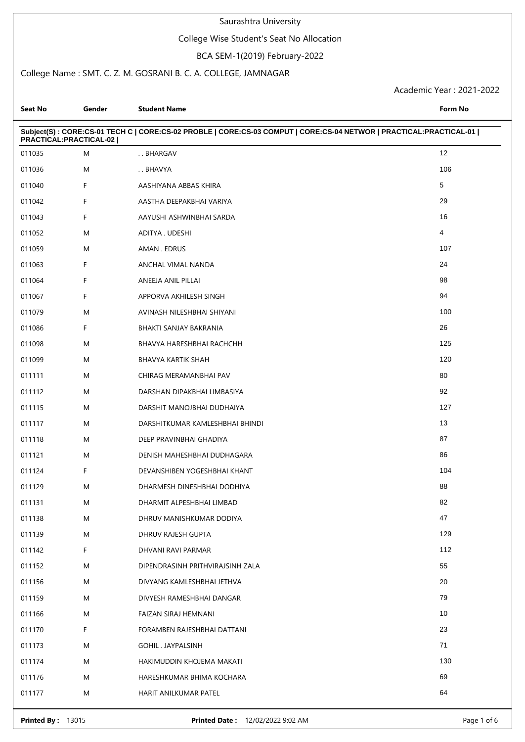## College Wise Student's Seat No Allocation

### BCA SEM-1(2019) February-2022

## College Name : SMT. C. Z. M. GOSRANI B. C. A. COLLEGE, JAMNAGAR

| Seat No                | Gender | <b>Student Name</b>                                                                                                | Form No        |
|------------------------|--------|--------------------------------------------------------------------------------------------------------------------|----------------|
| PRACTICAL:PRACTICAL-02 |        | Subject(S): CORE:CS-01 TECH C   CORE:CS-02 PROBLE   CORE:CS-03 COMPUT   CORE:CS-04 NETWOR   PRACTICAL:PRACTICAL-01 |                |
| 011035                 | M      | BHARGAV                                                                                                            | 12             |
| 011036                 | M      | BHAVYA                                                                                                             | 106            |
| 011040                 | F      | AASHIYANA ABBAS KHIRA                                                                                              | 5              |
| 011042                 | F      | AASTHA DEEPAKBHAI VARIYA                                                                                           | 29             |
| 011043                 | F      | AAYUSHI ASHWINBHAI SARDA                                                                                           | 16             |
| 011052                 | M      | ADITYA. UDESHI                                                                                                     | $\overline{4}$ |
| 011059                 | M      | AMAN. EDRUS                                                                                                        | 107            |
| 011063                 | F      | ANCHAL VIMAL NANDA                                                                                                 | 24             |
| 011064                 | F      | ANEEJA ANIL PILLAI                                                                                                 | 98             |
| 011067                 | F      | APPORVA AKHILESH SINGH                                                                                             | 94             |
| 011079                 | M      | AVINASH NILESHBHAI SHIYANI                                                                                         | 100            |
| 011086                 | F      | BHAKTI SANJAY BAKRANIA                                                                                             | 26             |
| 011098                 | M      | BHAVYA HARESHBHAI RACHCHH                                                                                          | 125            |
| 011099                 | M      | <b>BHAVYA KARTIK SHAH</b>                                                                                          | 120            |
| 011111                 | M      | CHIRAG MERAMANBHAI PAV                                                                                             | 80             |
| 011112                 | M      | DARSHAN DIPAKBHAI LIMBASIYA                                                                                        | 92             |
| 011115                 | M      | DARSHIT MANOJBHAI DUDHAIYA                                                                                         | 127            |
| 011117                 | M      | DARSHITKUMAR KAMLESHBHAI BHINDI                                                                                    | 13             |
| 011118                 | M      | DEEP PRAVINBHAI GHADIYA                                                                                            | 87             |
| 011121                 | M      | DENISH MAHESHBHAI DUDHAGARA                                                                                        | 86             |
| 011124                 | F      | DEVANSHIBEN YOGESHBHAI KHANT                                                                                       | 104            |
| 011129                 | M      | DHARMESH DINESHBHAI DODHIYA                                                                                        | 88             |
| 011131                 | M      | DHARMIT ALPESHBHAI LIMBAD                                                                                          | 82             |
| 011138                 | M      | DHRUV MANISHKUMAR DODIYA                                                                                           | 47             |
| 011139                 | M      | DHRUV RAJESH GUPTA                                                                                                 | 129            |
| 011142                 | F.     | DHVANI RAVI PARMAR                                                                                                 | 112            |
| 011152                 | M      | DIPENDRASINH PRITHVIRAJSINH ZALA                                                                                   | 55             |
| 011156                 | M      | DIVYANG KAMLESHBHAI JETHVA                                                                                         | 20             |
| 011159                 | M      | DIVYESH RAMESHBHAI DANGAR                                                                                          | 79             |
| 011166                 | M      | FAIZAN SIRAJ HEMNANI                                                                                               | 10             |
| 011170                 | F      | FORAMBEN RAJESHBHAI DATTANI                                                                                        | 23             |
| 011173                 | M      | GOHIL . JAYPALSINH                                                                                                 | 71             |
| 011174                 | M      | HAKIMUDDIN KHOJEMA MAKATI                                                                                          | 130            |
| 011176                 | M      | HARESHKUMAR BHIMA KOCHARA                                                                                          | 69             |
| 011177                 | M      | HARIT ANILKUMAR PATEL                                                                                              | 64             |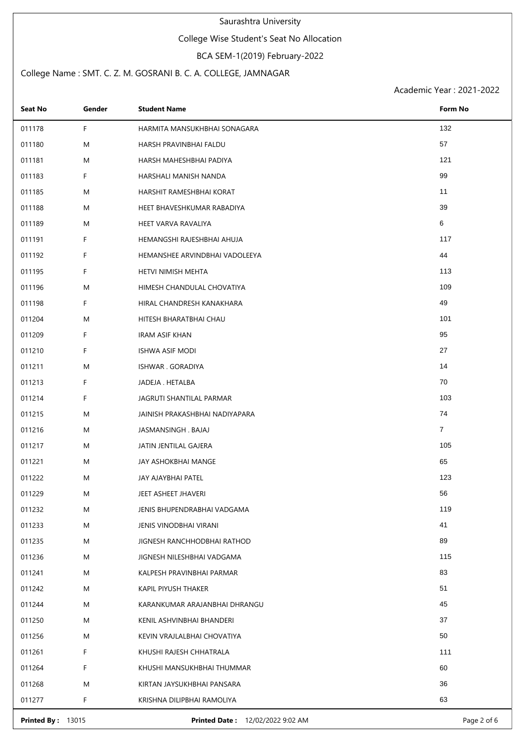## College Wise Student's Seat No Allocation

### BCA SEM-1(2019) February-2022

## College Name : SMT. C. Z. M. GOSRANI B. C. A. COLLEGE, JAMNAGAR

Academic Year : 2021-2022

| <b>Seat No</b> | Gender | <b>Student Name</b>            | Form No        |
|----------------|--------|--------------------------------|----------------|
| 011178         | F      | HARMITA MANSUKHBHAI SONAGARA   | 132            |
| 011180         | M      | HARSH PRAVINBHAI FALDU         | 57             |
| 011181         | M      | HARSH MAHESHBHAI PADIYA        | 121            |
| 011183         | F      | HARSHALI MANISH NANDA          | 99             |
| 011185         | M      | HARSHIT RAMESHBHAI KORAT       | 11             |
| 011188         | M      | HEET BHAVESHKUMAR RABADIYA     | 39             |
| 011189         | M      | HEET VARVA RAVALIYA            | 6              |
| 011191         | F.     | HEMANGSHI RAJESHBHAI AHUJA     | 117            |
| 011192         | F      | HEMANSHEE ARVINDBHAI VADOLEEYA | 44             |
| 011195         | F      | HETVI NIMISH MEHTA             | 113            |
| 011196         | M      | HIMESH CHANDULAL CHOVATIYA     | 109            |
| 011198         | F      | HIRAL CHANDRESH KANAKHARA      | 49             |
| 011204         | M      | HITESH BHARATBHAI CHAU         | 101            |
| 011209         | F      | <b>IRAM ASIF KHAN</b>          | 95             |
| 011210         | F.     | ISHWA ASIF MODI                | 27             |
| 011211         | M      | ISHWAR . GORADIYA              | 14             |
| 011213         | F.     | JADEJA . HETALBA               | 70             |
| 011214         | F      | JAGRUTI SHANTILAL PARMAR       | 103            |
| 011215         | M      | JAINISH PRAKASHBHAI NADIYAPARA | 74             |
| 011216         | M      | JASMANSINGH . BAJAJ            | $\overline{7}$ |
| 011217         | M      | JATIN JENTILAL GAJERA          | 105            |
| 011221         | M      | JAY ASHOKBHAI MANGE            | 65             |
| 011222         | M      | JAY AJAYBHAI PATEL             | 123            |
| 011229         | M      | JEET ASHEET JHAVERI            | 56             |
| 011232         | M      | JENIS BHUPENDRABHAI VADGAMA    | 119            |
| 011233         | M      | JENIS VINODBHAI VIRANI         | 41             |
| 011235         | M      | JIGNESH RANCHHODBHAI RATHOD    | 89             |
| 011236         | M      | JIGNESH NILESHBHAI VADGAMA     | 115            |
| 011241         | M      | KALPESH PRAVINBHAI PARMAR      | 83             |
| 011242         | M      | KAPIL PIYUSH THAKER            | 51             |
| 011244         | M      | KARANKUMAR ARAJANBHAI DHRANGU  | 45             |
| 011250         | M      | KENIL ASHVINBHAI BHANDERI      | 37             |
| 011256         | M      | KEVIN VRAJLALBHAI CHOVATIYA    | 50             |
| 011261         | F      | KHUSHI RAJESH CHHATRALA        | 111            |
| 011264         | F.     | KHUSHI MANSUKHBHAI THUMMAR     | 60             |
| 011268         | M      | KIRTAN JAYSUKHBHAI PANSARA     | 36             |
| 011277         | F      | KRISHNA DILIPBHAI RAMOLIYA     | 63             |

**Printed By :** 13015 **Printed Date :** 12/02/2022 9:02 AM **Page 2 of 6** Page 2 of 6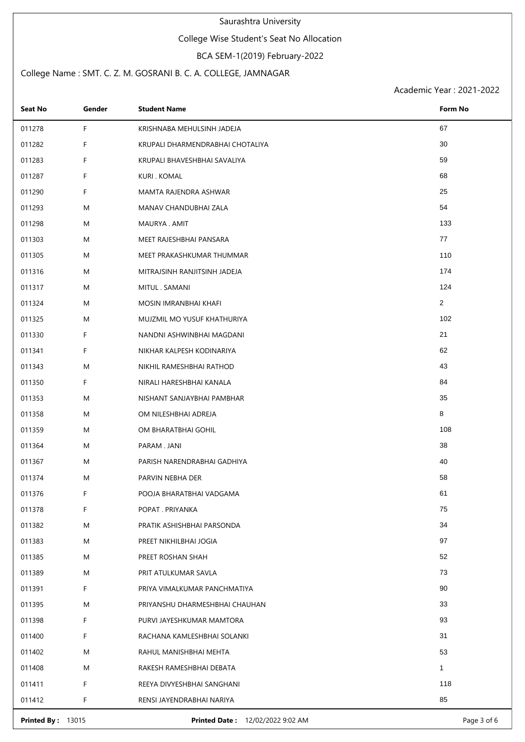## College Wise Student's Seat No Allocation

### BCA SEM-1(2019) February-2022

## College Name : SMT. C. Z. M. GOSRANI B. C. A. COLLEGE, JAMNAGAR

| <b>Seat No</b>           | Gender | <b>Student Name</b>              | Form No        |
|--------------------------|--------|----------------------------------|----------------|
| 011278                   | F      | KRISHNABA MEHULSINH JADEJA       | 67             |
| 011282                   | F      | KRUPALI DHARMENDRABHAI CHOTALIYA | 30             |
| 011283                   | F      | KRUPALI BHAVESHBHAI SAVALIYA     | 59             |
| 011287                   | F      | KURI. KOMAL                      | 68             |
| 011290                   | F      | MAMTA RAJENDRA ASHWAR            | 25             |
| 011293                   | M      | MANAV CHANDUBHAI ZALA            | 54             |
| 011298                   | M      | MAURYA . AMIT                    | 133            |
| 011303                   | M      | MEET RAJESHBHAI PANSARA          | 77             |
| 011305                   | M      | MEET PRAKASHKUMAR THUMMAR        | 110            |
| 011316                   | M      | MITRAJSINH RANJITSINH JADEJA     | 174            |
| 011317                   | M      | MITUL . SAMANI                   | 124            |
| 011324                   | M      | MOSIN IMRANBHAI KHAFI            | $\overline{2}$ |
| 011325                   | M      | MUJZMIL MO YUSUF KHATHURIYA      | 102            |
| 011330                   | F      | NANDNI ASHWINBHAI MAGDANI        | 21             |
| 011341                   | F      | NIKHAR KALPESH KODINARIYA        | 62             |
| 011343                   | M      | NIKHIL RAMESHBHAI RATHOD         | 43             |
| 011350                   | F      | NIRALI HARESHBHAI KANALA         | 84             |
| 011353                   | M      | NISHANT SANJAYBHAI PAMBHAR       | 35             |
| 011358                   | M      | OM NILESHBHAI ADREJA             | 8              |
| 011359                   | M      | OM BHARATBHAI GOHIL              | 108            |
| 011364                   | M      | PARAM . JANI                     | 38             |
| 011367                   | M      | PARISH NARENDRABHAI GADHIYA      | 40             |
| 011374                   | M      | PARVIN NEBHA DER                 | 58             |
| 011376                   | F      | POOJA BHARATBHAI VADGAMA         | 61             |
| 011378                   | F      | POPAT . PRIYANKA                 | 75             |
| 011382                   | M      | PRATIK ASHISHBHAI PARSONDA       | 34             |
| 011383                   | M      | PREET NIKHILBHAI JOGIA           | 97             |
| 011385                   | M      | PREET ROSHAN SHAH                | 52             |
| 011389                   | M      | PRIT ATULKUMAR SAVLA             | 73             |
| 011391                   | F      | PRIYA VIMALKUMAR PANCHMATIYA     | 90             |
| 011395                   | M      | PRIYANSHU DHARMESHBHAI CHAUHAN   | 33             |
| 011398                   | F      | PURVI JAYESHKUMAR MAMTORA        | 93             |
| 011400                   | F      | RACHANA KAMLESHBHAI SOLANKI      | 31             |
| 011402                   | M      | RAHUL MANISHBHAI MEHTA           | 53             |
| 011408                   | M      | RAKESH RAMESHBHAI DEBATA         | $\mathbf{1}$   |
| 011411                   | F      | REEYA DIVYESHBHAI SANGHANI       | 118            |
| 011412                   | F      | RENSI JAYENDRABHAI NARIYA        | 85             |
| <b>Printed By: 13015</b> |        | Printed Date: 12/02/2022 9:02 AM | Page 3 of 6    |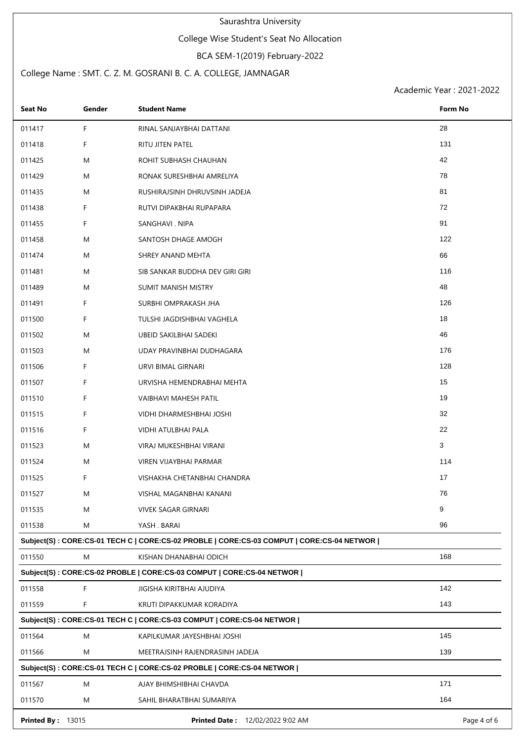# College Wise Student's Seat No Allocation

## BCA SEM-1(2019) February-2022

## College Name : SMT. C. Z. M. GOSRANI B. C. A. COLLEGE, JAMNAGAR

| Seat No                                                               | Gender | <b>Student Name</b>                                                                       | Form No     |  |
|-----------------------------------------------------------------------|--------|-------------------------------------------------------------------------------------------|-------------|--|
| 011417                                                                | F      | RINAL SANJAYBHAI DATTANI                                                                  | 28          |  |
| 011418                                                                | F      | RITU JITEN PATEL                                                                          | 131         |  |
| 011425                                                                | M      | ROHIT SUBHASH CHAUHAN                                                                     | 42          |  |
| 011429                                                                | M      | RONAK SURESHBHAI AMRELIYA                                                                 | 78          |  |
| 011435                                                                | M      | RUSHIRAJSINH DHRUVSINH JADEJA                                                             | 81          |  |
| 011438                                                                | F      | RUTVI DIPAKBHAI RUPAPARA                                                                  | 72          |  |
| 011455                                                                | F      | SANGHAVI . NIPA                                                                           | 91          |  |
| 011458                                                                | M      | SANTOSH DHAGE AMOGH                                                                       | 122         |  |
| 011474                                                                | M      | SHREY ANAND MEHTA                                                                         | 66          |  |
| 011481                                                                | M      | SIB SANKAR BUDDHA DEV GIRI GIRI                                                           | 116         |  |
| 011489                                                                | M      | <b>SUMIT MANISH MISTRY</b>                                                                | 48          |  |
| 011491                                                                | F      | SURBHI OMPRAKASH JHA                                                                      | 126         |  |
| 011500                                                                | F      | TULSHI JAGDISHBHAI VAGHELA                                                                | 18          |  |
| 011502                                                                | M      | UBEID SAKILBHAI SADEKI                                                                    | 46          |  |
| 011503                                                                | M      | UDAY PRAVINBHAI DUDHAGARA                                                                 | 176         |  |
| 011506                                                                | F.     | URVI BIMAL GIRNARI                                                                        | 128         |  |
| 011507                                                                | F      | URVISHA HEMENDRABHAI MEHTA                                                                | 15          |  |
| 011510                                                                | F      | VAIBHAVI MAHESH PATIL                                                                     | 19          |  |
| 011515                                                                | F      | VIDHI DHARMESHBHAI JOSHI                                                                  | 32          |  |
| 011516                                                                | F      | VIDHI ATULBHAI PALA                                                                       | 22          |  |
| 011523                                                                | M      | VIRAJ MUKESHBHAI VIRANI                                                                   | 3           |  |
| 011524                                                                | M      | VIREN VIJAYBHAI PARMAR                                                                    | 114         |  |
| 011525                                                                | F      | VISHAKHA CHETANBHAI CHANDRA                                                               | 17          |  |
| 011527                                                                | Μ      | VISHAL MAGANBHAI KANANI                                                                   | 76          |  |
| 011535                                                                | M      | VIVEK SAGAR GIRNARI                                                                       | 9           |  |
| 011538                                                                | M      | YASH . BARAI                                                                              | 96          |  |
|                                                                       |        | Subject(S): CORE:CS-01 TECH C   CORE:CS-02 PROBLE   CORE:CS-03 COMPUT   CORE:CS-04 NETWOR |             |  |
| 011550                                                                | M      | KISHAN DHANABHAI ODICH                                                                    | 168         |  |
| Subject(S): CORE:CS-02 PROBLE   CORE:CS-03 COMPUT   CORE:CS-04 NETWOR |        |                                                                                           |             |  |
| 011558                                                                | F      | JIGISHA KIRITBHAI AJUDIYA                                                                 | 142         |  |
| 011559                                                                | F      | KRUTI DIPAKKUMAR KORADIYA                                                                 | 143         |  |
| Subject(S): CORE:CS-01 TECH C   CORE:CS-03 COMPUT   CORE:CS-04 NETWOR |        |                                                                                           |             |  |
| 011564                                                                | M      | KAPILKUMAR JAYESHBHAI JOSHI                                                               | 145         |  |
| 011566                                                                | M      | MEETRAJSINH RAJENDRASINH JADEJA                                                           | 139         |  |
|                                                                       |        | Subject(S): CORE:CS-01 TECH C   CORE:CS-02 PROBLE   CORE:CS-04 NETWOR                     |             |  |
| 011567                                                                | M      | AJAY BHIMSHIBHAI CHAVDA                                                                   | 171         |  |
| 011570                                                                | M      | SAHIL BHARATBHAI SUMARIYA                                                                 | 164         |  |
| <b>Printed By: 13015</b>                                              |        | <b>Printed Date: 12/02/2022 9:02 AM</b>                                                   | Page 4 of 6 |  |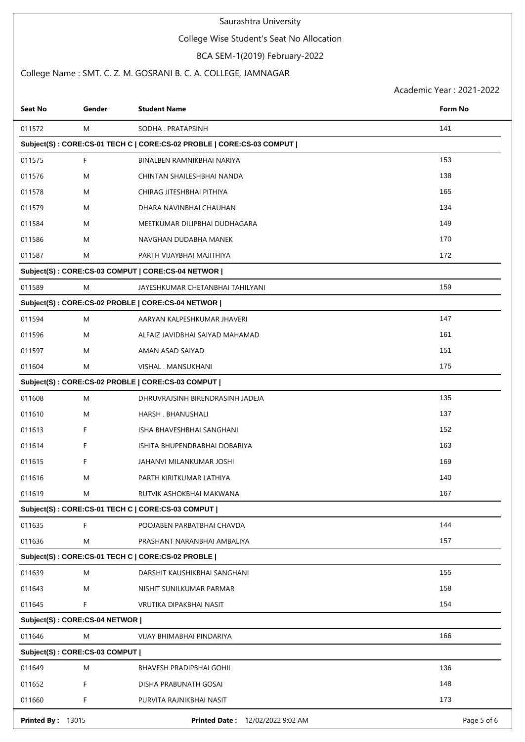# College Wise Student's Seat No Allocation

# BCA SEM-1(2019) February-2022

## College Name : SMT. C. Z. M. GOSRANI B. C. A. COLLEGE, JAMNAGAR

| Seat No                                           | Gender | <b>Student Name</b>                                                   | Form No     |  |  |
|---------------------------------------------------|--------|-----------------------------------------------------------------------|-------------|--|--|
| 011572                                            | M      | SODHA . PRATAPSINH                                                    | 141         |  |  |
|                                                   |        | Subject(S): CORE:CS-01 TECH C   CORE:CS-02 PROBLE   CORE:CS-03 COMPUT |             |  |  |
| 011575                                            | F      | BINALBEN RAMNIKBHAI NARIYA                                            | 153         |  |  |
| 011576                                            | M      | CHINTAN SHAILESHBHAI NANDA                                            | 138         |  |  |
| 011578                                            | M      | CHIRAG JITESHBHAI PITHIYA                                             | 165         |  |  |
| 011579                                            | M      | DHARA NAVINBHAI CHAUHAN                                               | 134         |  |  |
| 011584                                            | M      | MEETKUMAR DILIPBHAI DUDHAGARA                                         | 149         |  |  |
| 011586                                            | M      | NAVGHAN DUDABHA MANEK                                                 | 170         |  |  |
| 011587                                            | M      | PARTH VIJAYBHAI MAJITHIYA                                             | 172         |  |  |
|                                                   |        | Subject(S): CORE:CS-03 COMPUT   CORE:CS-04 NETWOR                     |             |  |  |
| 011589                                            | M      | JAYESHKUMAR CHETANBHAI TAHILYANI                                      | 159         |  |  |
|                                                   |        | Subject(S): CORE:CS-02 PROBLE   CORE:CS-04 NETWOR                     |             |  |  |
| 011594                                            | M      | AARYAN KALPESHKUMAR JHAVERI                                           | 147         |  |  |
| 011596                                            | M      | ALFAIZ JAVIDBHAI SAIYAD MAHAMAD                                       | 161         |  |  |
| 011597                                            | M      | AMAN ASAD SAIYAD                                                      | 151         |  |  |
| 011604                                            | M      | VISHAL . MANSUKHANI                                                   | 175         |  |  |
|                                                   |        | Subject(S): CORE:CS-02 PROBLE   CORE:CS-03 COMPUT                     |             |  |  |
| 011608                                            | M      | DHRUVRAJSINH BIRENDRASINH JADEJA                                      | 135         |  |  |
| 011610                                            | M      | HARSH. BHANUSHALI                                                     | 137         |  |  |
| 011613                                            | F      | ISHA BHAVESHBHAI SANGHANI                                             | 152         |  |  |
| 011614                                            | F      | ISHITA BHUPENDRABHAI DOBARIYA                                         | 163         |  |  |
| 011615                                            | F      | JAHANVI MILANKUMAR JOSHI                                              | 169         |  |  |
| 011616                                            | M      | PARTH KIRITKUMAR LATHIYA                                              | 140         |  |  |
| 011619                                            | M      | RUTVIK ASHOKBHAI MAKWANA                                              | 167         |  |  |
|                                                   |        | Subject(S): CORE:CS-01 TECH C   CORE:CS-03 COMPUT                     |             |  |  |
| 011635                                            | F      | POOJABEN PARBATBHAI CHAVDA                                            | 144         |  |  |
| 011636                                            | M      | PRASHANT NARANBHAI AMBALIYA                                           | 157         |  |  |
| Subject(S): CORE:CS-01 TECH C   CORE:CS-02 PROBLE |        |                                                                       |             |  |  |
| 011639                                            | M      | DARSHIT KAUSHIKBHAI SANGHANI                                          | 155         |  |  |
| 011643                                            | M      | NISHIT SUNILKUMAR PARMAR                                              | 158         |  |  |
| 011645                                            | F      | VRUTIKA DIPAKBHAI NASIT                                               | 154         |  |  |
| Subject(S): CORE:CS-04 NETWOR                     |        |                                                                       |             |  |  |
| 011646                                            | M      | VIJAY BHIMABHAI PINDARIYA                                             | 166         |  |  |
| Subject(S): CORE:CS-03 COMPUT                     |        |                                                                       |             |  |  |
| 011649                                            | M      | BHAVESH PRADIPBHAI GOHIL                                              | 136         |  |  |
| 011652                                            | F      | DISHA PRABUNATH GOSAI                                                 | 148         |  |  |
| 011660                                            | F      | PURVITA RAJNIKBHAI NASIT                                              | 173         |  |  |
| <b>Printed By: 13015</b>                          |        | Printed Date: 12/02/2022 9:02 AM                                      | Page 5 of 6 |  |  |